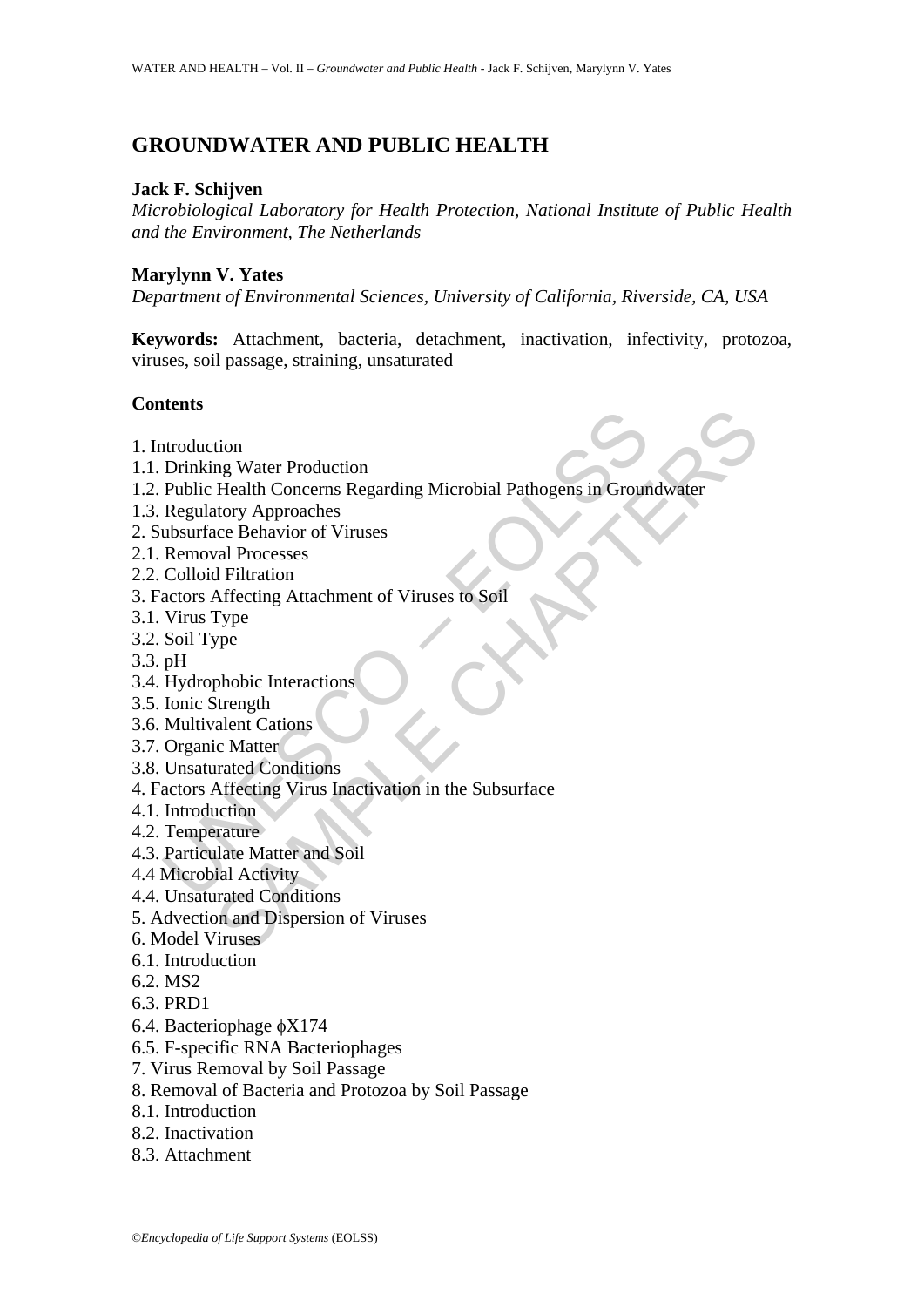# **GROUNDWATER AND PUBLIC HEALTH**

# **Jack F. Schijven**

*Microbiological Laboratory for Health Protection, National Institute of Public Health and the Environment, The Netherlands*

# **Marylynn V. Yates**

*Department of Environmental Sciences, University of California, Riverside, CA, USA* 

**Keywords:** Attachment, bacteria, detachment, inactivation, infectivity, protozoa, viruses, soil passage, straining, unsaturated

# **Contents**

- 1. Introduction
- 1.1. Drinking Water Production
- ntroduction<br>
Drinking Water Production<br>
Public Health Concerns Regarding Microbial Pathogens in Groum<br>
Regulatory Approaches<br>
Removal Processes<br>
Colloid Filtration<br>
actors Affecting Attachment of Viruses to Soil<br>
Virus Typ tion<br>mg Water Production<br>Health Concerns Regarding Microbial Pathogens in Groundwater<br>ratory Approaches<br>cale Behavior of Viruses<br>d'al Filtration<br>d'Ethration<br>d'Ethration<br>Microsoft<br>prope<br>prope<br>phobic Interactions<br>is later<br>ca 1.2. Public Health Concerns Regarding Microbial Pathogens in Groundwater
- 1.3. Regulatory Approaches
- 2. Subsurface Behavior of Viruses
- 2.1. Removal Processes
- 2.2. Colloid Filtration
- 3. Factors Affecting Attachment of Viruses to Soil
- 3.1. Virus Type
- 3.2. Soil Type
- 3.3. pH
- 3.4. Hydrophobic Interactions
- 3.5. Ionic Strength
- 3.6. Multivalent Cations
- 3.7. Organic Matter
- 3.8. Unsaturated Conditions
- 4. Factors Affecting Virus Inactivation in the Subsurface
- 4.1. Introduction
- 4.2. Temperature
- 4.3. Particulate Matter and Soil
- 4.4 Microbial Activity
- 4.4. Unsaturated Conditions
- 5. Advection and Dispersion of Viruses
- 6. Model Viruses
- 6.1. Introduction
- 6.2. MS2
- 6.3. PRD1
- 6.4. Bacteriophage φX174
- 6.5. F-specific RNA Bacteriophages
- 7. Virus Removal by Soil Passage
- 8. Removal of Bacteria and Protozoa by Soil Passage
- 8.1. Introduction
- 8.2. Inactivation
- 8.3. Attachment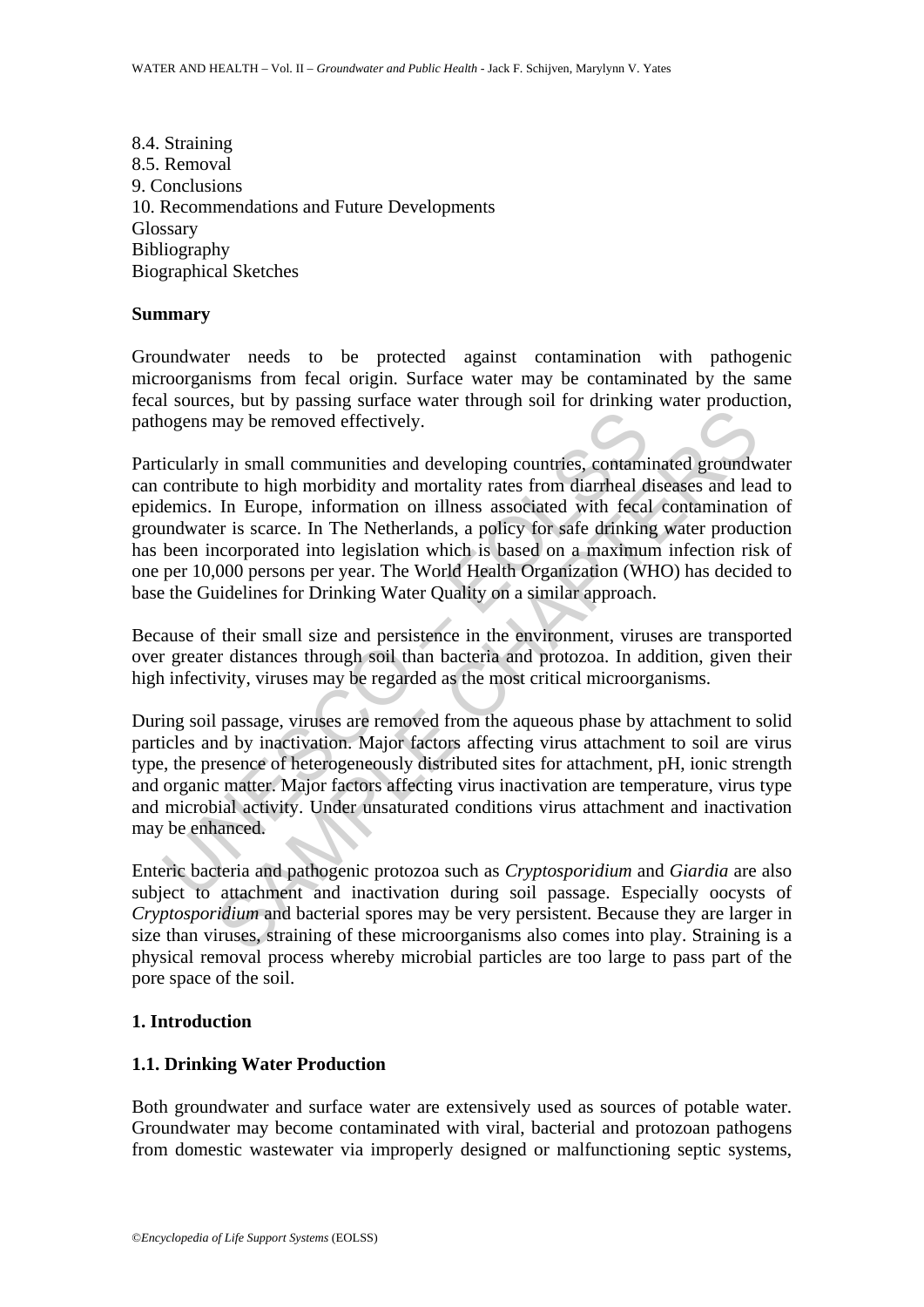8.4. Straining 8.5. Removal 9. Conclusions 10. Recommendations and Future Developments Glossary Bibliography Biographical Sketches

#### **Summary**

Groundwater needs to be protected against contamination with pathogenic microorganisms from fecal origin. Surface water may be contaminated by the same fecal sources, but by passing surface water through soil for drinking water production, pathogens may be removed effectively.

logens may be removed effectively.<br>
icularly in small communities and developing countries, contamin<br>
contribute to high morbidity and mortality rates from diarrheal d<br>
elemics. In Europe, information on illness associated may be removed effectively.<br>
win small communities and developing countries, contaminated ground<br>
unter to high morbidity and mortality rates from diarrheal diseases and lea<br>
In Europe, information on illness associated wi Particularly in small communities and developing countries, contaminated groundwater can contribute to high morbidity and mortality rates from diarrheal diseases and lead to epidemics. In Europe, information on illness associated with fecal contamination of groundwater is scarce. In The Netherlands, a policy for safe drinking water production has been incorporated into legislation which is based on a maximum infection risk of one per 10,000 persons per year. The World Health Organization (WHO) has decided to base the Guidelines for Drinking Water Quality on a similar approach.

Because of their small size and persistence in the environment, viruses are transported over greater distances through soil than bacteria and protozoa. In addition, given their high infectivity, viruses may be regarded as the most critical microorganisms.

During soil passage, viruses are removed from the aqueous phase by attachment to solid particles and by inactivation. Major factors affecting virus attachment to soil are virus type, the presence of heterogeneously distributed sites for attachment, pH, ionic strength and organic matter. Major factors affecting virus inactivation are temperature, virus type and microbial activity. Under unsaturated conditions virus attachment and inactivation may be enhanced.

Enteric bacteria and pathogenic protozoa such as *Cryptosporidium* and *Giardia* are also subject to attachment and inactivation during soil passage. Especially oocysts of *Cryptosporidium* and bacterial spores may be very persistent. Because they are larger in size than viruses, straining of these microorganisms also comes into play. Straining is a physical removal process whereby microbial particles are too large to pass part of the pore space of the soil.

#### **1. Introduction**

#### **1.1. Drinking Water Production**

Both groundwater and surface water are extensively used as sources of potable water. Groundwater may become contaminated with viral, bacterial and protozoan pathogens from domestic wastewater via improperly designed or malfunctioning septic systems,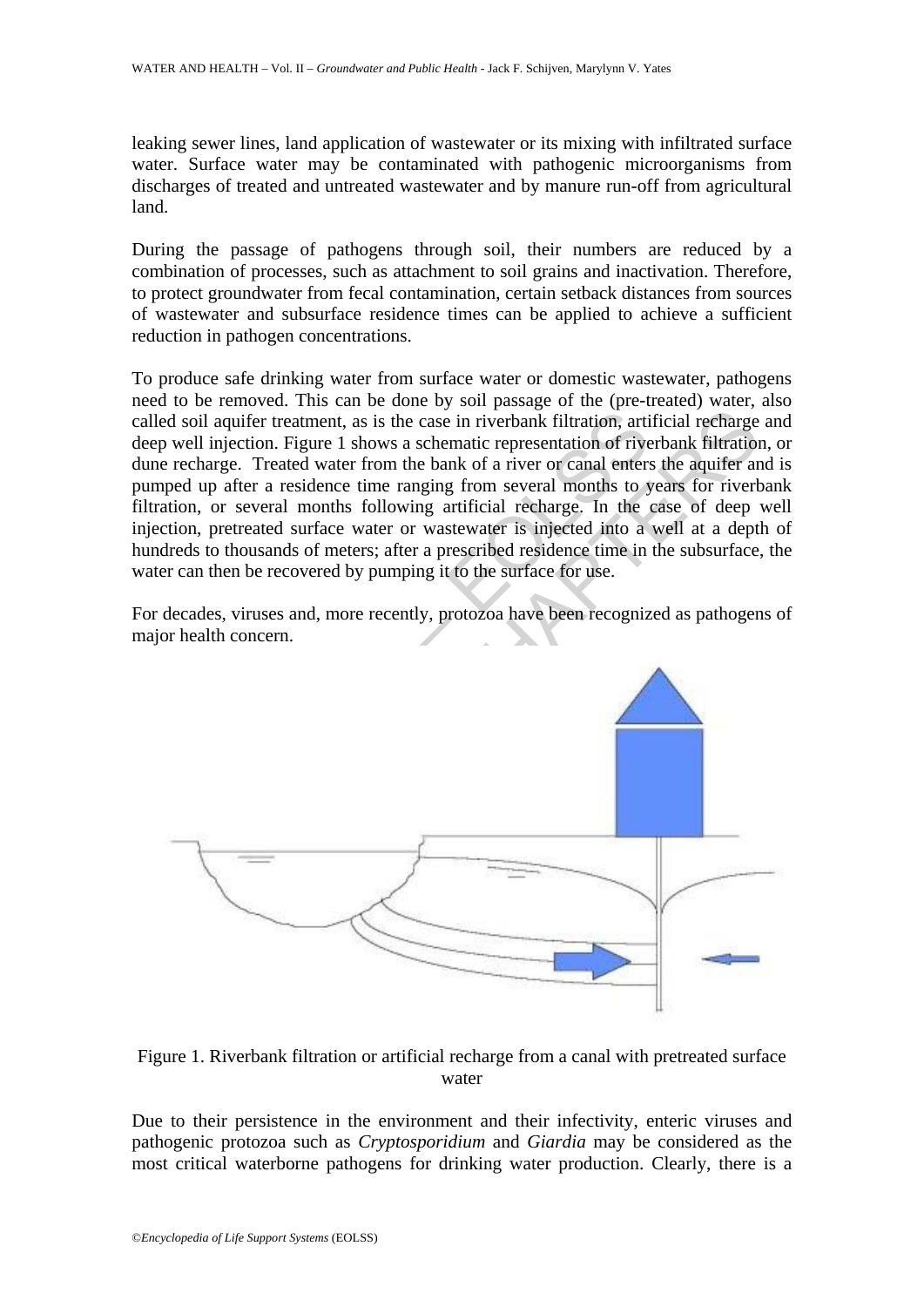leaking sewer lines, land application of wastewater or its mixing with infiltrated surface water. Surface water may be contaminated with pathogenic microorganisms from discharges of treated and untreated wastewater and by manure run-off from agricultural land.

During the passage of pathogens through soil, their numbers are reduced by a combination of processes, such as attachment to soil grains and inactivation. Therefore, to protect groundwater from fecal contamination, certain setback distances from sources of wastewater and subsurface residence times can be applied to achieve a sufficient reduction in pathogen concentrations.

To produce safe drinking water from surface water or domestic wastewater, pathogens need to be removed. This can be done by soil passage of the (pre-treated) water, also called soil aquifer treatment, as is the case in riverbank filtration, artificial recharge and deep well injection. Figure 1 shows a schematic representation of riverbank filtration, or dune recharge. Treated water from the bank of a river or canal enters the aquifer and is pumped up after a residence time ranging from several months to years for riverbank filtration, or several months following artificial recharge. In the case of deep well injection, pretreated surface water or wastewater is injected into a well at a depth of hundreds to thousands of meters; after a prescribed residence time in the subsurface, the water can then be recovered by pumping it to the surface for use.

For decades, viruses and, more recently, protozoa have been recognized as pathogens of major health concern.



Figure 1. Riverbank filtration or artificial recharge from a canal with pretreated surface water

Due to their persistence in the environment and their infectivity, enteric viruses and pathogenic protozoa such as *Cryptosporidium* and *Giardia* may be considered as the most critical waterborne pathogens for drinking water production. Clearly, there is a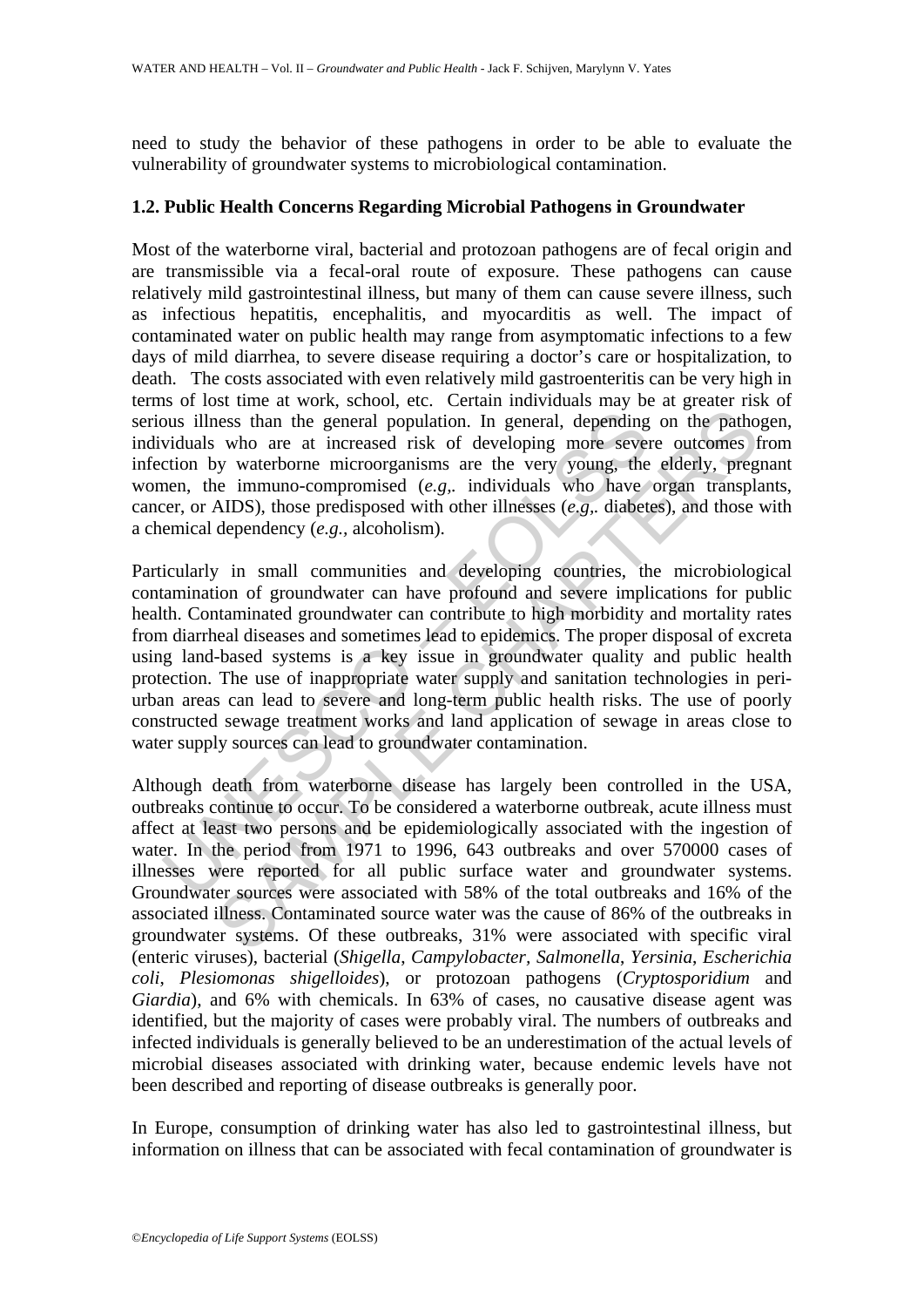need to study the behavior of these pathogens in order to be able to evaluate the vulnerability of groundwater systems to microbiological contamination.

### **1.2. Public Health Concerns Regarding Microbial Pathogens in Groundwater**

Most of the waterborne viral, bacterial and protozoan pathogens are of fecal origin and are transmissible via a fecal-oral route of exposure. These pathogens can cause relatively mild gastrointestinal illness, but many of them can cause severe illness, such as infectious hepatitis, encephalitis, and myocarditis as well. The impact of contaminated water on public health may range from asymptomatic infections to a few days of mild diarrhea, to severe disease requiring a doctor's care or hospitalization, to death. The costs associated with even relatively mild gastroenteritis can be very high in terms of lost time at work, school, etc. Certain individuals may be at greater risk of serious illness than the general population. In general, depending on the pathogen, individuals who are at increased risk of developing more severe outcomes from infection by waterborne microorganisms are the very young, the elderly, pregnant women, the immuno-compromised (*e.g,.* individuals who have organ transplants, cancer, or AIDS), those predisposed with other illnesses (*e.g,.* diabetes), and those with a chemical dependency (*e.g.,* alcoholism).

ous illness than the general population. In general, depending<br>viduals who are at increased risk of developing more sever<br>ction by waterborne microorganisms are the very young, the<br>nen, the immuno-compromised (*e.g.*, ind hess than the general population. In general, depending on the pathol who are at increased risk of developing more severe outcomes f we were at increased risk of developing more severe outcomes in the vary young, the elde Particularly in small communities and developing countries, the microbiological contamination of groundwater can have profound and severe implications for public health. Contaminated groundwater can contribute to high morbidity and mortality rates from diarrheal diseases and sometimes lead to epidemics. The proper disposal of excreta using land-based systems is a key issue in groundwater quality and public health protection. The use of inappropriate water supply and sanitation technologies in periurban areas can lead to severe and long-term public health risks. The use of poorly constructed sewage treatment works and land application of sewage in areas close to water supply sources can lead to groundwater contamination.

Although death from waterborne disease has largely been controlled in the USA, outbreaks continue to occur. To be considered a waterborne outbreak, acute illness must affect at least two persons and be epidemiologically associated with the ingestion of water. In the period from 1971 to 1996, 643 outbreaks and over 570000 cases of illnesses were reported for all public surface water and groundwater systems. Groundwater sources were associated with 58% of the total outbreaks and 16% of the associated illness. Contaminated source water was the cause of 86% of the outbreaks in groundwater systems. Of these outbreaks, 31% were associated with specific viral (enteric viruses), bacterial (*Shigella*, *Campylobacter, Salmonella*, *Yersinia*, *Escherichia coli*, *Plesiomonas shigelloides*), or protozoan pathogens (*Cryptosporidium* and *Giardia*), and 6% with chemicals. In 63% of cases, no causative disease agent was identified, but the majority of cases were probably viral. The numbers of outbreaks and infected individuals is generally believed to be an underestimation of the actual levels of microbial diseases associated with drinking water, because endemic levels have not been described and reporting of disease outbreaks is generally poor.

In Europe, consumption of drinking water has also led to gastrointestinal illness, but information on illness that can be associated with fecal contamination of groundwater is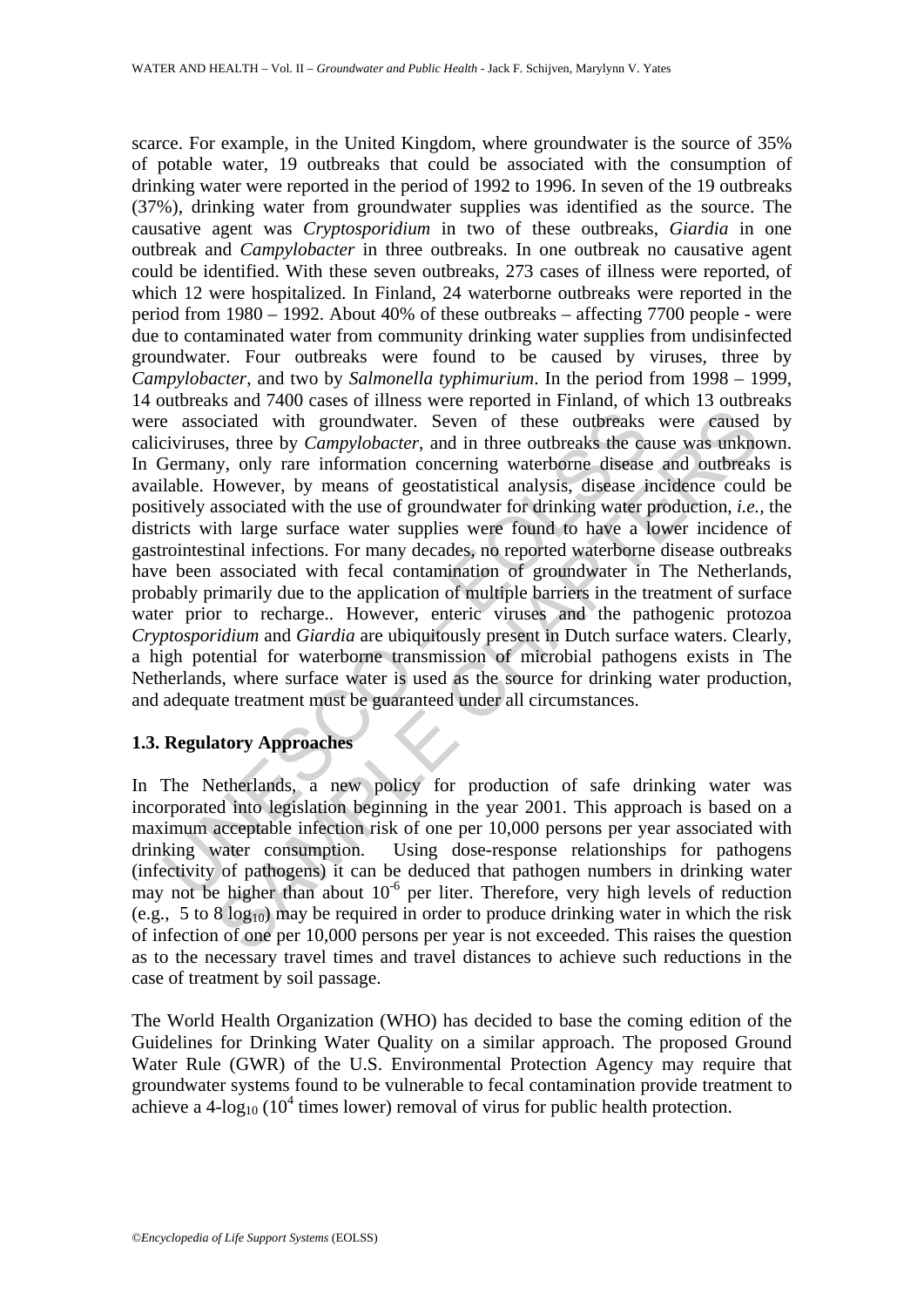e associated with groundwater. Seven of these outbreaks<br>civiruses, three by *Campylobacter*, and in three outbreaks the ca<br>dermany, only rare information concerning waterborne disease in<br>tively associated with the use of ciated with groundwater. Seven of these outbreaks were caused<br>ciated with groundwater. Seven of these outbreaks were caused<br>s, three by *Campylobacter*, and in three outbreaks the cause was unknowny, only rare information scarce. For example, in the United Kingdom, where groundwater is the source of 35% of potable water, 19 outbreaks that could be associated with the consumption of drinking water were reported in the period of 1992 to 1996. In seven of the 19 outbreaks (37%), drinking water from groundwater supplies was identified as the source. The causative agent was *Cryptosporidium* in two of these outbreaks, *Giardia* in one outbreak and *Campylobacter* in three outbreaks. In one outbreak no causative agent could be identified. With these seven outbreaks, 273 cases of illness were reported, of which 12 were hospitalized. In Finland, 24 waterborne outbreaks were reported in the period from 1980 – 1992. About 40% of these outbreaks – affecting 7700 people - were due to contaminated water from community drinking water supplies from undisinfected groundwater. Four outbreaks were found to be caused by viruses, three by *Campylobacter*, and two by *Salmonella typhimurium*. In the period from 1998 – 1999, 14 outbreaks and 7400 cases of illness were reported in Finland, of which 13 outbreaks were associated with groundwater. Seven of these outbreaks were caused by caliciviruses, three by *Campylobacter*, and in three outbreaks the cause was unknown. In Germany, only rare information concerning waterborne disease and outbreaks is available. However, by means of geostatistical analysis, disease incidence could be positively associated with the use of groundwater for drinking water production, *i.e.,* the districts with large surface water supplies were found to have a lower incidence of gastrointestinal infections. For many decades, no reported waterborne disease outbreaks have been associated with fecal contamination of groundwater in The Netherlands, probably primarily due to the application of multiple barriers in the treatment of surface water prior to recharge.. However, enteric viruses and the pathogenic protozoa *Cryptosporidium* and *Giardia* are ubiquitously present in Dutch surface waters. Clearly, a high potential for waterborne transmission of microbial pathogens exists in The Netherlands, where surface water is used as the source for drinking water production, and adequate treatment must be guaranteed under all circumstances.

# **1.3. Regulatory Approaches**

In The Netherlands, a new policy for production of safe drinking water was incorporated into legislation beginning in the year 2001. This approach is based on a maximum acceptable infection risk of one per 10,000 persons per year associated with drinking water consumption. Using dose-response relationships for pathogens (infectivity of pathogens) it can be deduced that pathogen numbers in drinking water may not be higher than about  $10^{-6}$  per liter. Therefore, very high levels of reduction (e.g., 5 to 8  $log_{10}$ ) may be required in order to produce drinking water in which the risk of infection of one per 10,000 persons per year is not exceeded. This raises the question as to the necessary travel times and travel distances to achieve such reductions in the case of treatment by soil passage.

The World Health Organization (WHO) has decided to base the coming edition of the Guidelines for Drinking Water Quality on a similar approach. The proposed Ground Water Rule (GWR) of the U.S. Environmental Protection Agency may require that groundwater systems found to be vulnerable to fecal contamination provide treatment to achieve a 4- $\log_{10}$  (10<sup>4</sup> times lower) removal of virus for public health protection.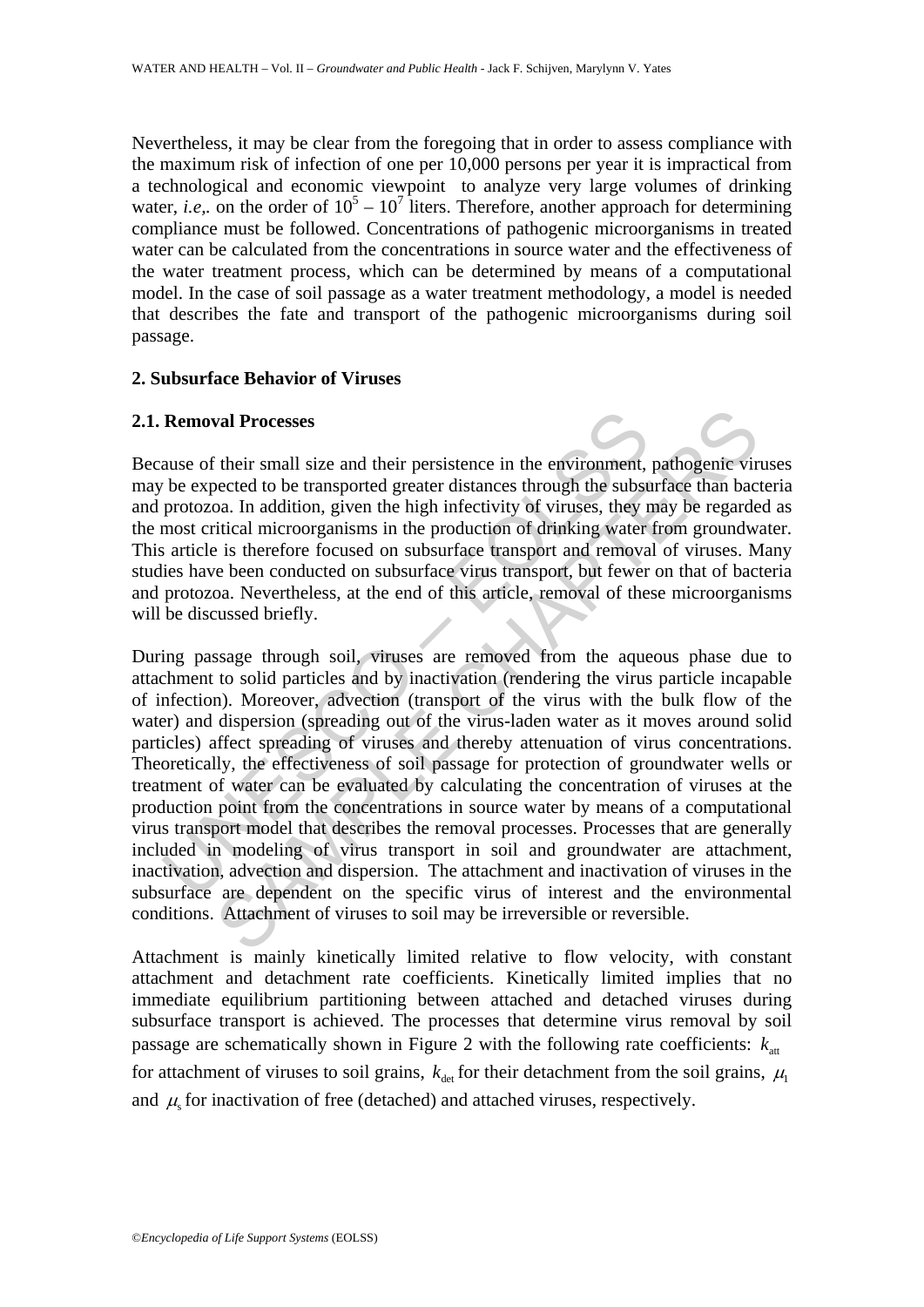Nevertheless, it may be clear from the foregoing that in order to assess compliance with the maximum risk of infection of one per 10,000 persons per year it is impractical from a technological and economic viewpoint to analyze very large volumes of drinking water, *i.e.*, on the order of  $10^5 - 10^7$  liters. Therefore, another approach for determining compliance must be followed. Concentrations of pathogenic microorganisms in treated water can be calculated from the concentrations in source water and the effectiveness of the water treatment process, which can be determined by means of a computational model. In the case of soil passage as a water treatment methodology, a model is needed that describes the fate and transport of the pathogenic microorganisms during soil passage.

### **2. Subsurface Behavior of Viruses**

### **2.1. Removal Processes**

Because of their small size and their persistence in the environment, pathogenic viruses may be expected to be transported greater distances through the subsurface than bacteria and protozoa. In addition, given the high infectivity of viruses, they may be regarded as the most critical microorganisms in the production of drinking water from groundwater. This article is therefore focused on subsurface transport and removal of viruses. Many studies have been conducted on subsurface virus transport, but fewer on that of bacteria and protozoa. Nevertheless, at the end of this article, removal of these microorganisms will be discussed briefly.

**Removal Processes**<br>ause of their small size and their persistence in the environment,<br>be expected to be transported greater distances through the subst<br>protozoa. In addition, given the high infectivity of viruses, they n<br> **Example 18** Processes<br>
in their small size and their persistence in the environment, pathogenic vire<br>
beceted to be transported greater distances through the subsurface than bac<br>
oa. In addition, given the high infectivit During passage through soil, viruses are removed from the aqueous phase due to attachment to solid particles and by inactivation (rendering the virus particle incapable of infection). Moreover, advection (transport of the virus with the bulk flow of the water) and dispersion (spreading out of the virus-laden water as it moves around solid particles) affect spreading of viruses and thereby attenuation of virus concentrations. Theoretically, the effectiveness of soil passage for protection of groundwater wells or treatment of water can be evaluated by calculating the concentration of viruses at the production point from the concentrations in source water by means of a computational virus transport model that describes the removal processes. Processes that are generally included in modeling of virus transport in soil and groundwater are attachment, inactivation, advection and dispersion. The attachment and inactivation of viruses in the subsurface are dependent on the specific virus of interest and the environmental conditions. Attachment of viruses to soil may be irreversible or reversible.

Attachment is mainly kinetically limited relative to flow velocity, with constant attachment and detachment rate coefficients. Kinetically limited implies that no immediate equilibrium partitioning between attached and detached viruses during subsurface transport is achieved. The processes that determine virus removal by soil passage are schematically shown in Figure 2 with the following rate coefficients:  $k_{\alpha t}$ for attachment of viruses to soil grains,  $k_{\text{det}}$  for their detachment from the soil grains,  $\mu_1$ and  $\mu$  for inactivation of free (detached) and attached viruses, respectively.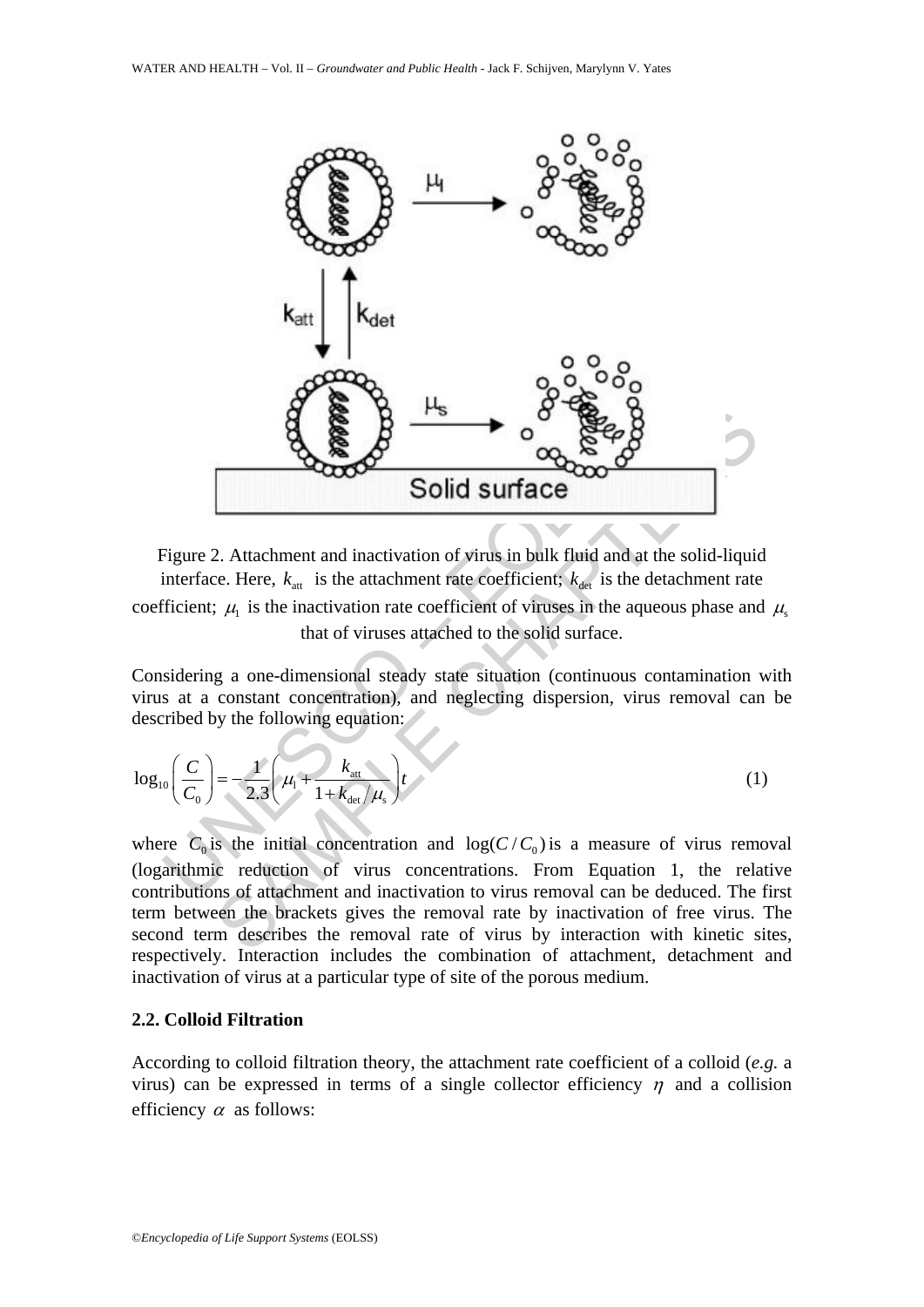

Figure 2. Attachment and inactivation of virus in bulk fluid and at the solid-liquid interface. Here,  $k_{\text{at}}$  is the attachment rate coefficient;  $k_{\text{det}}$  is the detachment rate coefficient;  $\mu_1$  is the inactivation rate coefficient of viruses in the aqueous phase and  $\mu_s$ that of viruses attached to the solid surface.

Considering a one-dimensional steady state situation (continuous contamination with virus at a constant concentration), and neglecting dispersion, virus removal can be described by the following equation:

$$
\log_{10}\left(\frac{C}{C_0}\right) = -\frac{1}{2.3}\left(\mu_1 + \frac{k_{\text{att}}}{1 + k_{\text{det}}/\mu_s}\right)t
$$
 (1)

where  $C_0$  is the initial concentration and  $log(C/C_0)$  is a measure of virus removal (logarithmic reduction of virus concentrations. From Equation 1, the relative contributions of attachment and inactivation to virus removal can be deduced. The first term between the brackets gives the removal rate by inactivation of free virus. The second term describes the removal rate of virus by interaction with kinetic sites, respectively. Interaction includes the combination of attachment, detachment and inactivation of virus at a particular type of site of the porous medium.

#### **2.2. Colloid Filtration**

According to colloid filtration theory, the attachment rate coefficient of a colloid (*e.g.* a virus) can be expressed in terms of a single collector efficiency  $\eta$  and a collision efficiency  $\alpha$  as follows: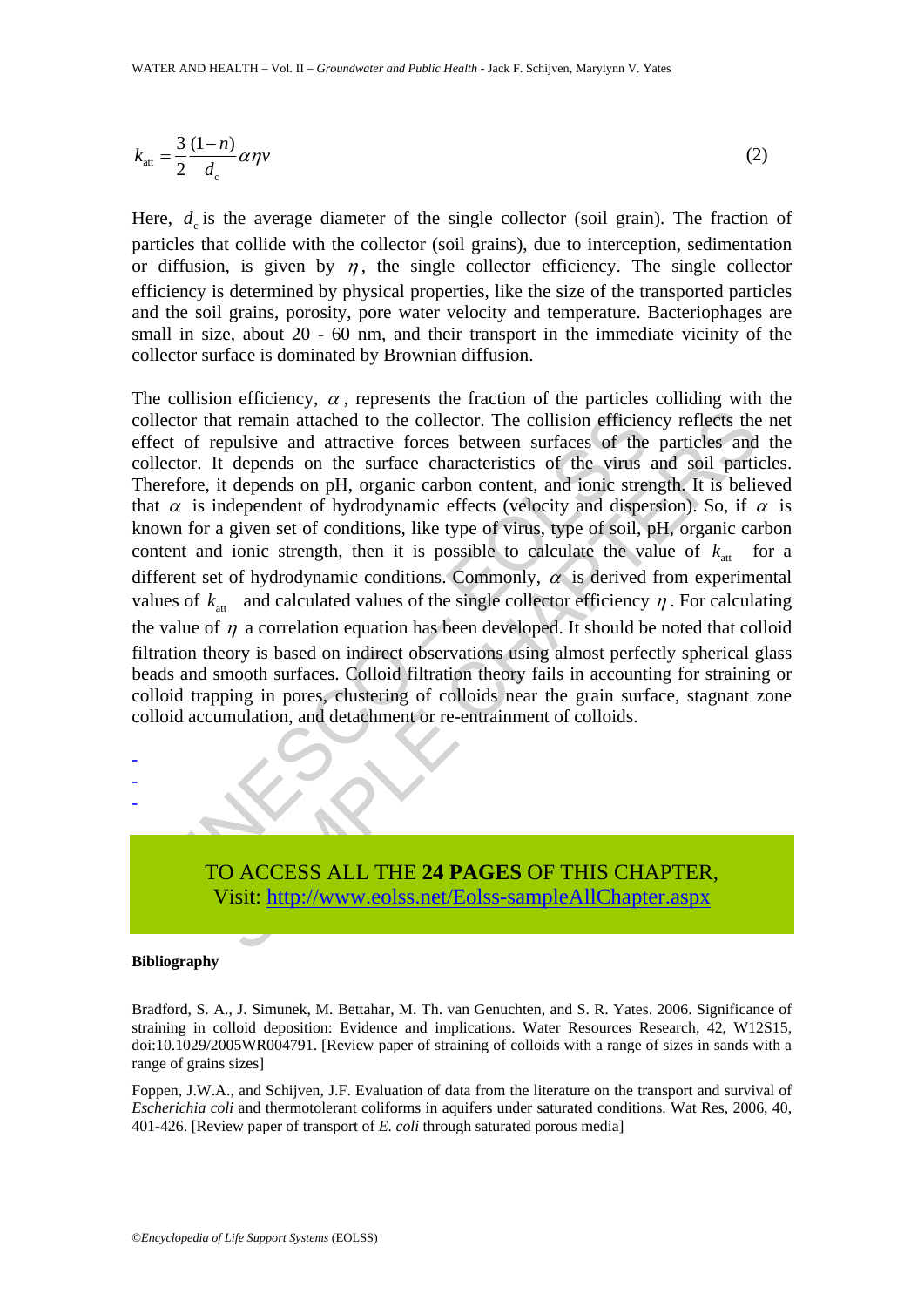$$
k_{\text{att}} = \frac{3}{2} \frac{(1-n)}{d_{\text{c}}} \alpha \eta v \tag{2}
$$

Here,  $d_c$  is the average diameter of the single collector (soil grain). The fraction of particles that collide with the collector (soil grains), due to interception, sedimentation or diffusion, is given by  $\eta$ , the single collector efficiency. The single collector efficiency is determined by physical properties, like the size of the transported particles and the soil grains, porosity, pore water velocity and temperature. Bacteriophages are small in size, about 20 - 60 nm, and their transport in the immediate vicinity of the collector surface is dominated by Brownian diffusion.

reaction that remain attached to the collector. The collision efficient of repulsive and attractive forces between surfaces of the ector. It depends on the surface characteristics of the virus refore, it depends on the s nat remain attached to the collector. The collision efficiency reflects the epulsive and attractive forces between surfaces of the particles and the depends on the surface characteristics of the virus and soil particles a The collision efficiency,  $\alpha$ , represents the fraction of the particles colliding with the collector that remain attached to the collector. The collision efficiency reflects the net effect of repulsive and attractive forces between surfaces of the particles and the collector. It depends on the surface characteristics of the virus and soil particles. Therefore, it depends on pH, organic carbon content, and ionic strength. It is believed that  $\alpha$  is independent of hydrodynamic effects (velocity and dispersion). So, if  $\alpha$  is known for a given set of conditions, like type of virus, type of soil, pH, organic carbon content and ionic strength, then it is possible to calculate the value of  $k_{\text{at}}$  for a different set of hydrodynamic conditions. Commonly,  $\alpha$  is derived from experimental values of  $k_{\text{at}}$  and calculated values of the single collector efficiency  $\eta$ . For calculating the value of  $\eta$  a correlation equation has been developed. It should be noted that colloid filtration theory is based on indirect observations using almost perfectly spherical glass beads and smooth surfaces. Colloid filtration theory fails in accounting for straining or colloid trapping in pores, clustering of colloids near the grain surface, stagnant zone colloid accumulation, and detachment or re-entrainment of colloids.



#### **Bibliography**

- - -

Bradford, S. A., J. Simunek, M. Bettahar, M. Th. van Genuchten, and S. R. Yates. 2006. Significance of straining in colloid deposition: Evidence and implications. Water Resources Research, 42, W12S15, doi:10.1029/2005WR004791. [Review paper of straining of colloids with a range of sizes in sands with a range of grains sizes]

Foppen, J.W.A., and Schijven, J.F. Evaluation of data from the literature on the transport and survival of *Escherichia coli* and thermotolerant coliforms in aquifers under saturated conditions. Wat Res, 2006, 40, 401-426. [Review paper of transport of *E. coli* through saturated porous media]